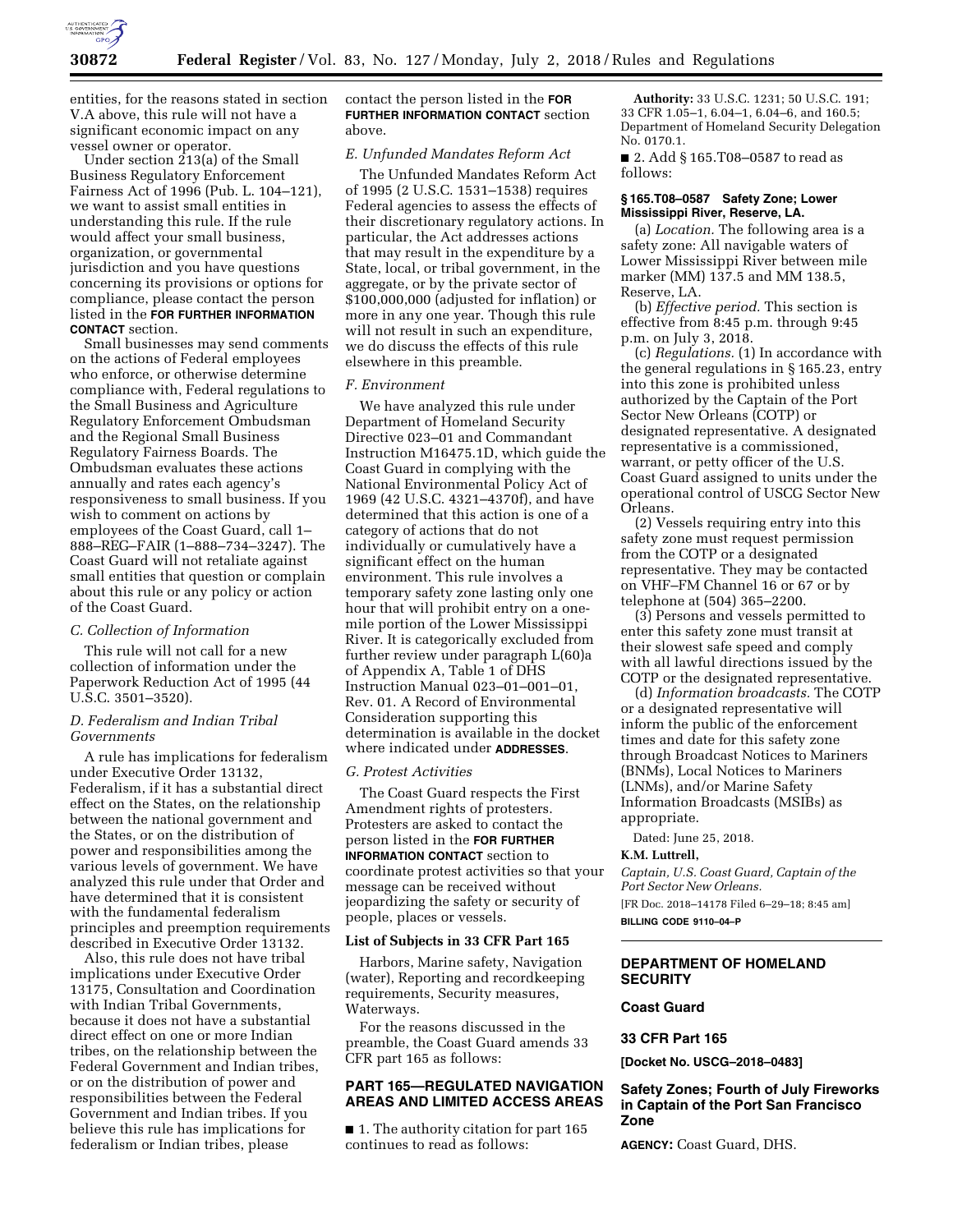

entities, for the reasons stated in section V.A above, this rule will not have a significant economic impact on any vessel owner or operator.

Under section 213(a) of the Small Business Regulatory Enforcement Fairness Act of 1996 (Pub. L. 104–121), we want to assist small entities in understanding this rule. If the rule would affect your small business, organization, or governmental jurisdiction and you have questions concerning its provisions or options for compliance, please contact the person listed in the **FOR FURTHER INFORMATION CONTACT** section.

Small businesses may send comments on the actions of Federal employees who enforce, or otherwise determine compliance with, Federal regulations to the Small Business and Agriculture Regulatory Enforcement Ombudsman and the Regional Small Business Regulatory Fairness Boards. The Ombudsman evaluates these actions annually and rates each agency's responsiveness to small business. If you wish to comment on actions by employees of the Coast Guard, call 1– 888–REG–FAIR (1–888–734–3247). The Coast Guard will not retaliate against small entities that question or complain about this rule or any policy or action of the Coast Guard.

#### *C. Collection of Information*

This rule will not call for a new collection of information under the Paperwork Reduction Act of 1995 (44 U.S.C. 3501–3520).

## *D. Federalism and Indian Tribal Governments*

A rule has implications for federalism under Executive Order 13132, Federalism, if it has a substantial direct effect on the States, on the relationship between the national government and the States, or on the distribution of power and responsibilities among the various levels of government. We have analyzed this rule under that Order and have determined that it is consistent with the fundamental federalism principles and preemption requirements described in Executive Order 13132.

Also, this rule does not have tribal implications under Executive Order 13175, Consultation and Coordination with Indian Tribal Governments, because it does not have a substantial direct effect on one or more Indian tribes, on the relationship between the Federal Government and Indian tribes, or on the distribution of power and responsibilities between the Federal Government and Indian tribes. If you believe this rule has implications for federalism or Indian tribes, please

contact the person listed in the **FOR FURTHER INFORMATION CONTACT** section above.

#### *E. Unfunded Mandates Reform Act*

The Unfunded Mandates Reform Act of 1995 (2 U.S.C. 1531–1538) requires Federal agencies to assess the effects of their discretionary regulatory actions. In particular, the Act addresses actions that may result in the expenditure by a State, local, or tribal government, in the aggregate, or by the private sector of \$100,000,000 (adjusted for inflation) or more in any one year. Though this rule will not result in such an expenditure, we do discuss the effects of this rule elsewhere in this preamble.

#### *F. Environment*

We have analyzed this rule under Department of Homeland Security Directive 023–01 and Commandant Instruction M16475.1D, which guide the Coast Guard in complying with the National Environmental Policy Act of 1969 (42 U.S.C. 4321–4370f), and have determined that this action is one of a category of actions that do not individually or cumulatively have a significant effect on the human environment. This rule involves a temporary safety zone lasting only one hour that will prohibit entry on a onemile portion of the Lower Mississippi River. It is categorically excluded from further review under paragraph L(60)a of Appendix A, Table 1 of DHS Instruction Manual 023–01–001–01, Rev. 01. A Record of Environmental Consideration supporting this determination is available in the docket where indicated under **ADDRESSES**.

#### *G. Protest Activities*

The Coast Guard respects the First Amendment rights of protesters. Protesters are asked to contact the person listed in the **FOR FURTHER INFORMATION CONTACT** section to coordinate protest activities so that your message can be received without jeopardizing the safety or security of people, places or vessels.

## **List of Subjects in 33 CFR Part 165**

Harbors, Marine safety, Navigation (water), Reporting and recordkeeping requirements, Security measures, Waterways.

For the reasons discussed in the preamble, the Coast Guard amends 33 CFR part 165 as follows:

## **PART 165—REGULATED NAVIGATION AREAS AND LIMITED ACCESS AREAS**

■ 1. The authority citation for part 165 continues to read as follows:

**Authority:** 33 U.S.C. 1231; 50 U.S.C. 191; 33 CFR 1.05–1, 6.04–1, 6.04–6, and 160.5; Department of Homeland Security Delegation No. 0170.1.

■ 2. Add § 165.T08-0587 to read as follows:

## **§ 165.T08–0587 Safety Zone; Lower Mississippi River, Reserve, LA.**

(a) *Location.* The following area is a safety zone: All navigable waters of Lower Mississippi River between mile marker (MM) 137.5 and MM 138.5, Reserve, LA.

(b) *Effective period.* This section is effective from 8:45 p.m. through 9:45 p.m. on July 3, 2018.

(c) *Regulations.* (1) In accordance with the general regulations in § 165.23, entry into this zone is prohibited unless authorized by the Captain of the Port Sector New Orleans (COTP) or designated representative. A designated representative is a commissioned, warrant, or petty officer of the U.S. Coast Guard assigned to units under the operational control of USCG Sector New Orleans.

(2) Vessels requiring entry into this safety zone must request permission from the COTP or a designated representative. They may be contacted on VHF–FM Channel 16 or 67 or by telephone at (504) 365–2200.

(3) Persons and vessels permitted to enter this safety zone must transit at their slowest safe speed and comply with all lawful directions issued by the COTP or the designated representative.

(d) *Information broadcasts.* The COTP or a designated representative will inform the public of the enforcement times and date for this safety zone through Broadcast Notices to Mariners (BNMs), Local Notices to Mariners (LNMs), and/or Marine Safety Information Broadcasts (MSIBs) as appropriate.

Dated: June 25, 2018.

#### **K.M. Luttrell,**

*Captain, U.S. Coast Guard, Captain of the Port Sector New Orleans.* 

[FR Doc. 2018–14178 Filed 6–29–18; 8:45 am] **BILLING CODE 9110–04–P** 

## **DEPARTMENT OF HOMELAND SECURITY**

# **Coast Guard**

#### **33 CFR Part 165**

**[Docket No. USCG–2018–0483]** 

# **Safety Zones; Fourth of July Fireworks in Captain of the Port San Francisco Zone**

**AGENCY:** Coast Guard, DHS.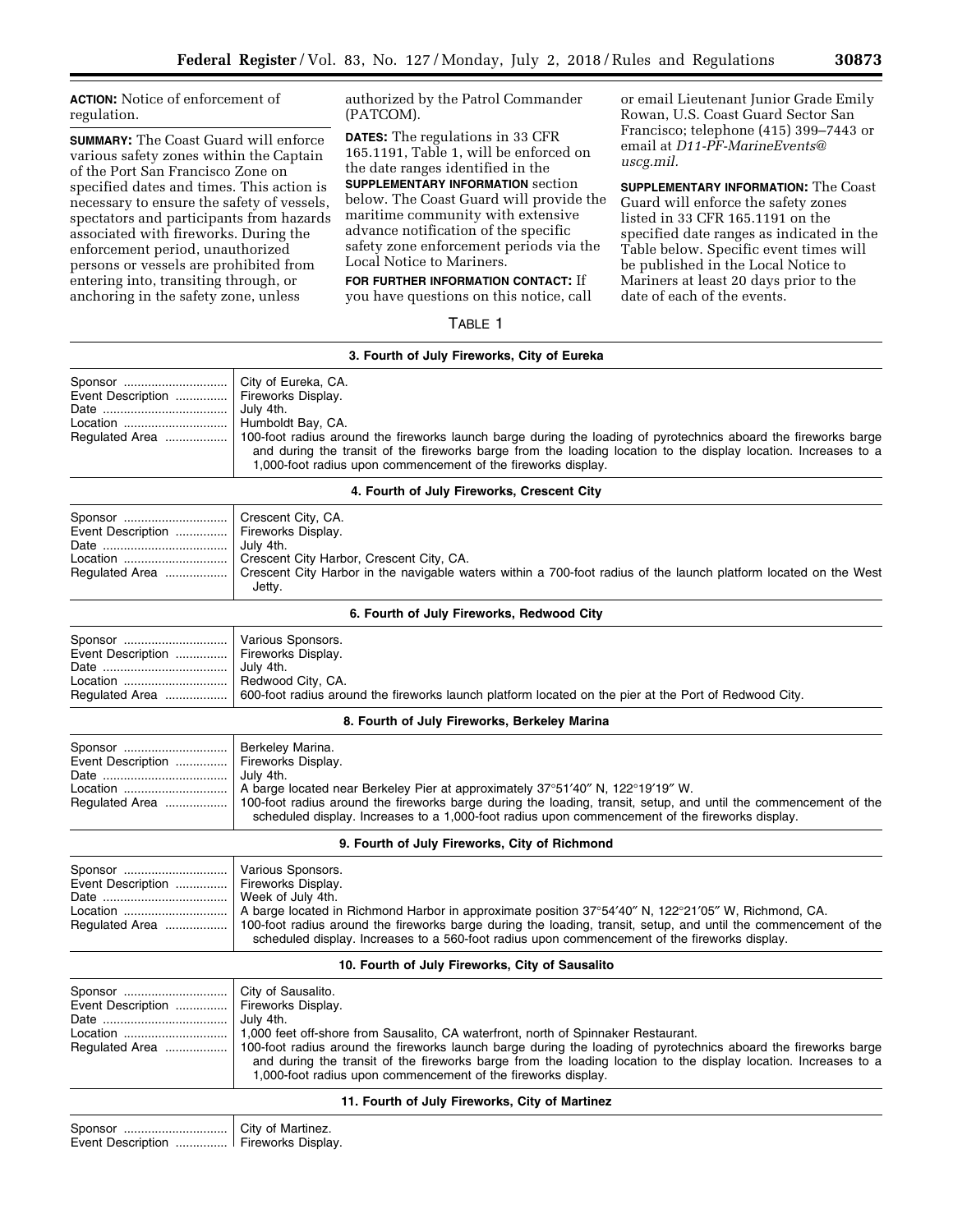**ACTION:** Notice of enforcement of regulation.

**SUMMARY:** The Coast Guard will enforce various safety zones within the Captain of the Port San Francisco Zone on specified dates and times. This action is necessary to ensure the safety of vessels, spectators and participants from hazards associated with fireworks. During the enforcement period, unauthorized persons or vessels are prohibited from entering into, transiting through, or anchoring in the safety zone, unless

authorized by the Patrol Commander (PATCOM).

**DATES:** The regulations in 33 CFR 165.1191, Table 1, will be enforced on the date ranges identified in the **SUPPLEMENTARY INFORMATION** section below. The Coast Guard will provide the maritime community with extensive advance notification of the specific safety zone enforcement periods via the Local Notice to Mariners.

**FOR FURTHER INFORMATION CONTACT:** If you have questions on this notice, call

TABLE 1

or email Lieutenant Junior Grade Emily Rowan, U.S. Coast Guard Sector San Francisco; telephone (415) 399–7443 or email at *[D11-PF-MarineEvents@](mailto:D11-PF-MarineEvents@uscg.mil) [uscg.mil.](mailto:D11-PF-MarineEvents@uscg.mil)* 

**SUPPLEMENTARY INFORMATION:** The Coast Guard will enforce the safety zones listed in 33 CFR 165.1191 on the specified date ranges as indicated in the Table below. Specific event times will be published in the Local Notice to Mariners at least 20 days prior to the date of each of the events.

| 3. Fourth of July Fireworks, City of Eureka |                                                                                                                                                                                                                                                                                                                                                       |  |
|---------------------------------------------|-------------------------------------------------------------------------------------------------------------------------------------------------------------------------------------------------------------------------------------------------------------------------------------------------------------------------------------------------------|--|
| Event Description    Fireworks Display.     | July 4th.<br>Humboldt Bay, CA.<br>Regulated Area  100-foot radius around the fireworks launch barge during the loading of pyrotechnics aboard the fireworks barge<br>and during the transit of the fireworks barge from the loading location to the display location. Increases to a<br>1,000-foot radius upon commencement of the fireworks display. |  |

| 4. Fourth of July Fireworks, Crescent City |  |  |  |  |  |  |
|--------------------------------------------|--|--|--|--|--|--|
|--------------------------------------------|--|--|--|--|--|--|

| Event Description    Fireworks Display. |                                                                                                                                  |
|-----------------------------------------|----------------------------------------------------------------------------------------------------------------------------------|
|                                         | July 4th.                                                                                                                        |
| Location                                | Crescent City Harbor, Crescent City, CA.                                                                                         |
|                                         | Requiated Area  Crescent City Harbor in the navigable waters within a 700-foot radius of the launch platform located on the West |
|                                         | Jettv.                                                                                                                           |

**6. Fourth of July Fireworks, Redwood City** 

| Sponsor    Various Sponsors.<br>Event Description    Fireworks Display.<br>Location    Redwood City, CA. | July 4th.<br>Regulated Area    600-foot radius around the fireworks launch platform located on the pier at the Port of Redwood City. |
|----------------------------------------------------------------------------------------------------------|--------------------------------------------------------------------------------------------------------------------------------------|
|                                                                                                          |                                                                                                                                      |

#### **8. Fourth of July Fireworks, Berkeley Marina**

| Event Description    Fireworks Display. | <b>Berkeley Marina.</b><br>l Julv 4th.<br>Regulated Area   100-foot radius around the fireworks barge during the loading, transit, setup, and until the commencement of the<br>scheduled display. Increases to a 1,000-foot radius upon commencement of the fireworks display. |
|-----------------------------------------|--------------------------------------------------------------------------------------------------------------------------------------------------------------------------------------------------------------------------------------------------------------------------------|
|-----------------------------------------|--------------------------------------------------------------------------------------------------------------------------------------------------------------------------------------------------------------------------------------------------------------------------------|

#### **9. Fourth of July Fireworks, City of Richmond**

| Event Description    Fireworks Display. | Week of July 4th.                                                                                                                                                                                                                  |
|-----------------------------------------|------------------------------------------------------------------------------------------------------------------------------------------------------------------------------------------------------------------------------------|
|                                         | Regulated Area   100-foot radius around the fireworks barge during the loading, transit, setup, and until the commencement of the<br>scheduled display. Increases to a 560-foot radius upon commencement of the fireworks display. |

## **10. Fourth of July Fireworks, City of Sausalito**

| Event Description  Fireworks Display. | July 4th.<br>and during the transit of the fireworks barge from the loading location to the display location. Increases to a<br>1,000-foot radius upon commencement of the fireworks display. |
|---------------------------------------|-----------------------------------------------------------------------------------------------------------------------------------------------------------------------------------------------|
|---------------------------------------|-----------------------------------------------------------------------------------------------------------------------------------------------------------------------------------------------|

# **11. Fourth of July Fireworks, City of Martinez**

| Sponsor    City of Martinez.            |  |  |
|-----------------------------------------|--|--|
| Event Description    Fireworks Display. |  |  |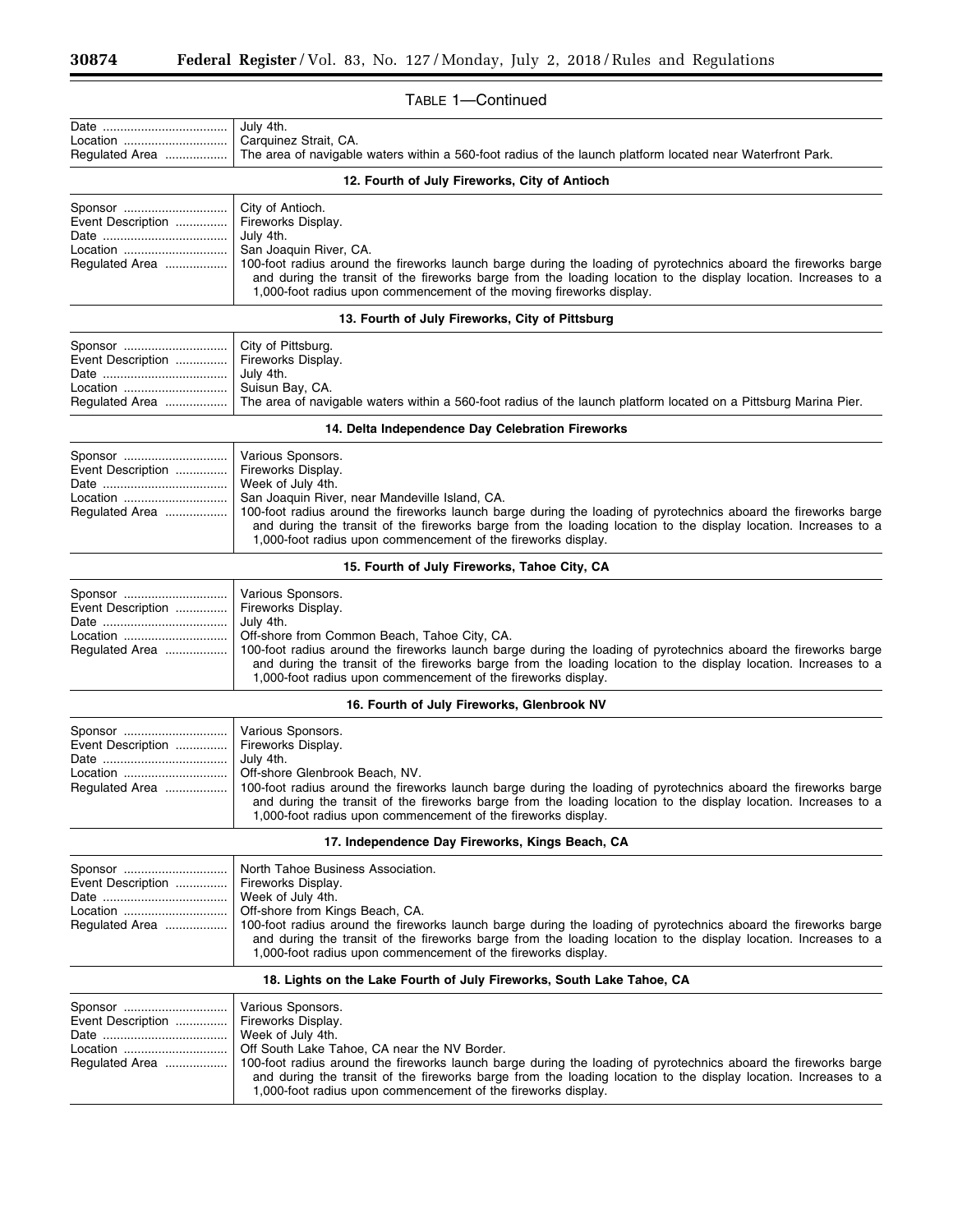$\equiv$ 

۰

# TABLE 1—Continued

|                              | July 4th.                                                                                                                                                                                                                                                                                                  |
|------------------------------|------------------------------------------------------------------------------------------------------------------------------------------------------------------------------------------------------------------------------------------------------------------------------------------------------------|
| Location<br>Regulated Area   | Carquinez Strait, CA.<br>The area of navigable waters within a 560-foot radius of the launch platform located near Waterfront Park.                                                                                                                                                                        |
|                              | 12. Fourth of July Fireworks, City of Antioch                                                                                                                                                                                                                                                              |
| Sponsor                      | City of Antioch.                                                                                                                                                                                                                                                                                           |
| Event Description            | Fireworks Display.                                                                                                                                                                                                                                                                                         |
|                              | July 4th.                                                                                                                                                                                                                                                                                                  |
| Location                     | San Joaquin River, CA.                                                                                                                                                                                                                                                                                     |
| Regulated Area               | 100-foot radius around the fireworks launch barge during the loading of pyrotechnics aboard the fireworks barge<br>and during the transit of the fireworks barge from the loading location to the display location. Increases to a<br>1,000-foot radius upon commencement of the moving fireworks display. |
|                              | 13. Fourth of July Fireworks, City of Pittsburg                                                                                                                                                                                                                                                            |
| Sponsor                      | City of Pittsburg.                                                                                                                                                                                                                                                                                         |
| Event Description            | Fireworks Display.                                                                                                                                                                                                                                                                                         |
|                              | July 4th.                                                                                                                                                                                                                                                                                                  |
| Location<br>Regulated Area   | Suisun Bay, CA.<br>The area of navigable waters within a 560-foot radius of the launch platform located on a Pittsburg Marina Pier.                                                                                                                                                                        |
|                              |                                                                                                                                                                                                                                                                                                            |
|                              | 14. Delta Independence Day Celebration Fireworks                                                                                                                                                                                                                                                           |
| Sponsor<br>Event Description | Various Sponsors.<br>Fireworks Display.                                                                                                                                                                                                                                                                    |
|                              | Week of July 4th.                                                                                                                                                                                                                                                                                          |
| Location                     | San Joaquin River, near Mandeville Island, CA.                                                                                                                                                                                                                                                             |
| Regulated Area               | 100-foot radius around the fireworks launch barge during the loading of pyrotechnics aboard the fireworks barge                                                                                                                                                                                            |
|                              | and during the transit of the fireworks barge from the loading location to the display location. Increases to a<br>1,000-foot radius upon commencement of the fireworks display.                                                                                                                           |
|                              | 15. Fourth of July Fireworks, Tahoe City, CA                                                                                                                                                                                                                                                               |
| Sponsor                      | Various Sponsors.                                                                                                                                                                                                                                                                                          |
| Event Description            | Fireworks Display.                                                                                                                                                                                                                                                                                         |
| Location                     | July 4th.<br>Off-shore from Common Beach, Tahoe City, CA.                                                                                                                                                                                                                                                  |
| Regulated Area               | 100-foot radius around the fireworks launch barge during the loading of pyrotechnics aboard the fireworks barge                                                                                                                                                                                            |
|                              | and during the transit of the fireworks barge from the loading location to the display location. Increases to a                                                                                                                                                                                            |
|                              | 1,000-foot radius upon commencement of the fireworks display.                                                                                                                                                                                                                                              |
|                              | 16. Fourth of July Fireworks, Glenbrook NV                                                                                                                                                                                                                                                                 |
| Sponsor                      | Various Sponsors.                                                                                                                                                                                                                                                                                          |
| Event Description            | Fireworks Display.                                                                                                                                                                                                                                                                                         |
| Location                     | July 4th.<br>Off-shore Glenbrook Beach, NV.                                                                                                                                                                                                                                                                |
| Regulated Area               | 100-foot radius around the fireworks launch barge during the loading of pyrotechnics aboard the fireworks barge                                                                                                                                                                                            |
|                              | and during the transit of the fireworks barge from the loading location to the display location. Increases to a                                                                                                                                                                                            |
|                              | 1,000-foot radius upon commencement of the fireworks display.                                                                                                                                                                                                                                              |
|                              | 17. Independence Day Fireworks, Kings Beach, CA                                                                                                                                                                                                                                                            |
| Sponsor                      | North Tahoe Business Association.                                                                                                                                                                                                                                                                          |
| Event Description            | Fireworks Display.                                                                                                                                                                                                                                                                                         |
|                              | Week of July 4th.                                                                                                                                                                                                                                                                                          |
| Location<br>Regulated Area   | Off-shore from Kings Beach, CA.<br>100-foot radius around the fireworks launch barge during the loading of pyrotechnics aboard the fireworks barge                                                                                                                                                         |
|                              | and during the transit of the fireworks barge from the loading location to the display location. Increases to a<br>1,000-foot radius upon commencement of the fireworks display.                                                                                                                           |
|                              | 18. Lights on the Lake Fourth of July Fireworks, South Lake Tahoe, CA                                                                                                                                                                                                                                      |
| Sponsor                      | Various Sponsors.                                                                                                                                                                                                                                                                                          |
| Event Description            | Fireworks Display.                                                                                                                                                                                                                                                                                         |
|                              | Week of July 4th.                                                                                                                                                                                                                                                                                          |
| Location                     | Off South Lake Tahoe, CA near the NV Border.                                                                                                                                                                                                                                                               |
| Regulated Area               | 100-foot radius around the fireworks launch barge during the loading of pyrotechnics aboard the fireworks barge                                                                                                                                                                                            |
|                              | and during the transit of the fireworks barge from the loading location to the display location. Increases to a<br>1,000-foot radius upon commencement of the fireworks display.                                                                                                                           |
|                              |                                                                                                                                                                                                                                                                                                            |